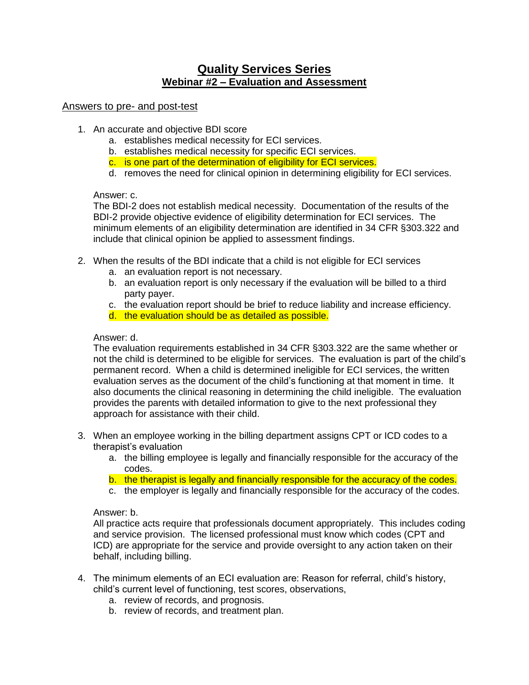# **Quality Services Series Webinar #2 – Evaluation and Assessment**

# Answers to pre- and post-test

- 1. An accurate and objective BDI score
	- a. establishes medical necessity for ECI services.
	- b. establishes medical necessity for specific ECI services.
	- c. is one part of the determination of eligibility for ECI services.
	- d. removes the need for clinical opinion in determining eligibility for ECI services.

# Answer: c.

The BDI-2 does not establish medical necessity. Documentation of the results of the BDI-2 provide objective evidence of eligibility determination for ECI services. The minimum elements of an eligibility determination are identified in 34 CFR §303.322 and include that clinical opinion be applied to assessment findings.

- 2. When the results of the BDI indicate that a child is not eligible for ECI services
	- a. an evaluation report is not necessary.
	- b. an evaluation report is only necessary if the evaluation will be billed to a third party payer.
	- c. the evaluation report should be brief to reduce liability and increase efficiency.
	- d. the evaluation should be as detailed as possible.

# Answer: d.

The evaluation requirements established in 34 CFR §303.322 are the same whether or not the child is determined to be eligible for services. The evaluation is part of the child's permanent record. When a child is determined ineligible for ECI services, the written evaluation serves as the document of the child's functioning at that moment in time. It also documents the clinical reasoning in determining the child ineligible. The evaluation provides the parents with detailed information to give to the next professional they approach for assistance with their child.

- 3. When an employee working in the billing department assigns CPT or ICD codes to a therapist's evaluation
	- a. the billing employee is legally and financially responsible for the accuracy of the codes.
	- b. the therapist is legally and financially responsible for the accuracy of the codes.
	- c. the employer is legally and financially responsible for the accuracy of the codes.

#### Answer: b.

All practice acts require that professionals document appropriately. This includes coding and service provision. The licensed professional must know which codes (CPT and ICD) are appropriate for the service and provide oversight to any action taken on their behalf, including billing.

- 4. The minimum elements of an ECI evaluation are: Reason for referral, child's history, child's current level of functioning, test scores, observations,
	- a. review of records, and prognosis.
	- b. review of records, and treatment plan.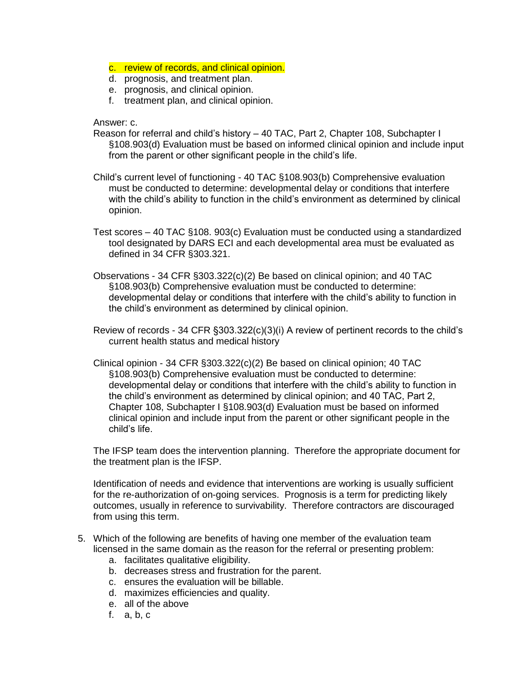- c. review of records, and clinical opinion.
- d. prognosis, and treatment plan.
- e. prognosis, and clinical opinion.
- f. treatment plan, and clinical opinion.

#### Answer: c.

- Reason for referral and child's history 40 TAC, Part 2, Chapter 108, Subchapter I §108.903(d) Evaluation must be based on informed clinical opinion and include input from the parent or other significant people in the child's life.
- Child's current level of functioning 40 TAC §108.903(b) Comprehensive evaluation must be conducted to determine: developmental delay or conditions that interfere with the child's ability to function in the child's environment as determined by clinical opinion.
- Test scores 40 TAC §108. 903(c) Evaluation must be conducted using a standardized tool designated by DARS ECI and each developmental area must be evaluated as defined in 34 CFR §303.321.
- Observations 34 CFR §303.322(c)(2) Be based on clinical opinion; and 40 TAC §108.903(b) Comprehensive evaluation must be conducted to determine: developmental delay or conditions that interfere with the child's ability to function in the child's environment as determined by clinical opinion.
- Review of records 34 CFR §303.322(c)(3)(i) A review of pertinent records to the child's current health status and medical history
- Clinical opinion 34 CFR §303.322(c)(2) Be based on clinical opinion; 40 TAC §108.903(b) Comprehensive evaluation must be conducted to determine: developmental delay or conditions that interfere with the child's ability to function in the child's environment as determined by clinical opinion; and 40 TAC, Part 2, Chapter 108, Subchapter I §108.903(d) Evaluation must be based on informed clinical opinion and include input from the parent or other significant people in the child's life.

The IFSP team does the intervention planning. Therefore the appropriate document for the treatment plan is the IFSP.

Identification of needs and evidence that interventions are working is usually sufficient for the re-authorization of on-going services. Prognosis is a term for predicting likely outcomes, usually in reference to survivability. Therefore contractors are discouraged from using this term.

- 5. Which of the following are benefits of having one member of the evaluation team licensed in the same domain as the reason for the referral or presenting problem:
	- a. facilitates qualitative eligibility.
	- b. decreases stress and frustration for the parent.
	- c. ensures the evaluation will be billable.
	- d. maximizes efficiencies and quality.
	- e. all of the above
	- f. a, b, c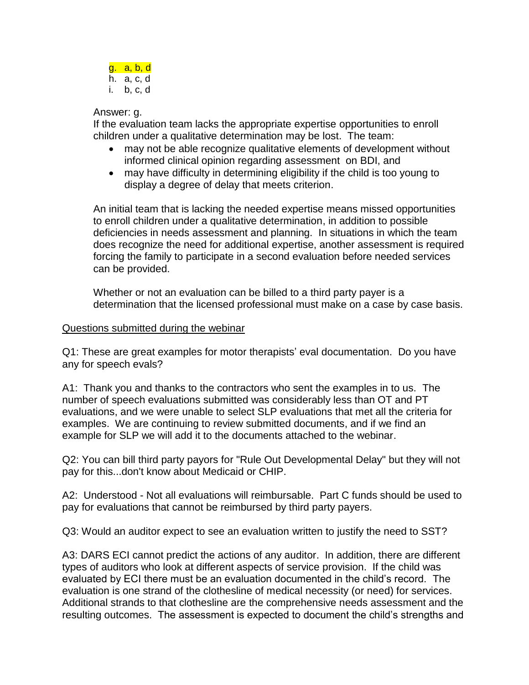

### Answer: g.

If the evaluation team lacks the appropriate expertise opportunities to enroll children under a qualitative determination may be lost. The team:

- may not be able recognize qualitative elements of development without informed clinical opinion regarding assessment on BDI, and
- may have difficulty in determining eligibility if the child is too young to display a degree of delay that meets criterion.

An initial team that is lacking the needed expertise means missed opportunities to enroll children under a qualitative determination, in addition to possible deficiencies in needs assessment and planning. In situations in which the team does recognize the need for additional expertise, another assessment is required forcing the family to participate in a second evaluation before needed services can be provided.

Whether or not an evaluation can be billed to a third party payer is a determination that the licensed professional must make on a case by case basis.

# Questions submitted during the webinar

Q1: These are great examples for motor therapists' eval documentation. Do you have any for speech evals?

A1: Thank you and thanks to the contractors who sent the examples in to us. The number of speech evaluations submitted was considerably less than OT and PT evaluations, and we were unable to select SLP evaluations that met all the criteria for examples. We are continuing to review submitted documents, and if we find an example for SLP we will add it to the documents attached to the webinar.

Q2: You can bill third party payors for "Rule Out Developmental Delay" but they will not pay for this...don't know about Medicaid or CHIP.

A2: Understood - Not all evaluations will reimbursable. Part C funds should be used to pay for evaluations that cannot be reimbursed by third party payers.

Q3: Would an auditor expect to see an evaluation written to justify the need to SST?

A3: DARS ECI cannot predict the actions of any auditor. In addition, there are different types of auditors who look at different aspects of service provision. If the child was evaluated by ECI there must be an evaluation documented in the child's record. The evaluation is one strand of the clothesline of medical necessity (or need) for services. Additional strands to that clothesline are the comprehensive needs assessment and the resulting outcomes. The assessment is expected to document the child's strengths and